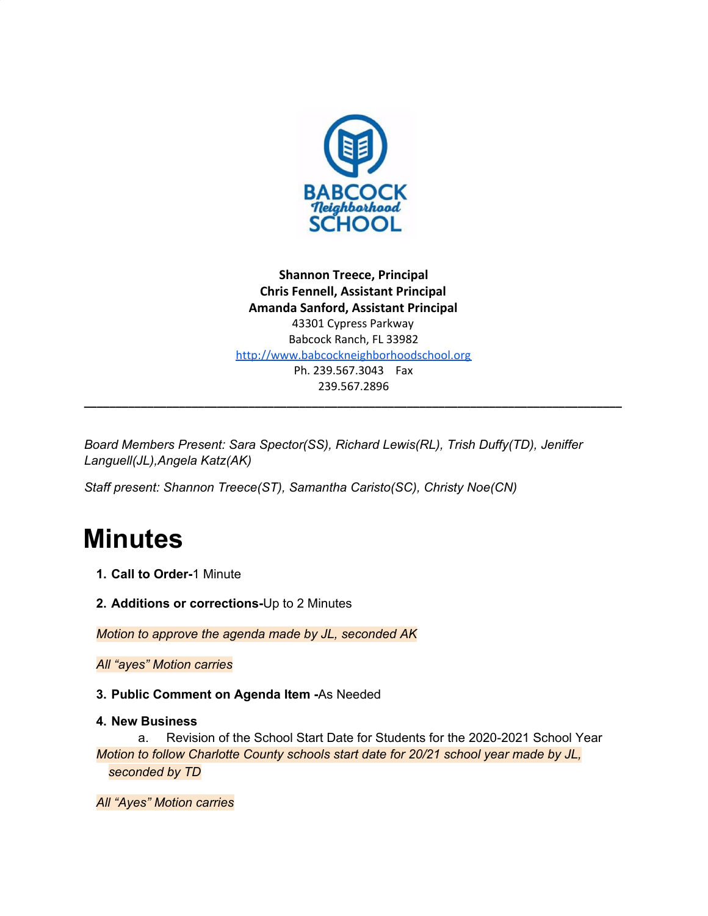

**Shannon Treece, Principal Chris Fennell, Assistant Principal Amanda Sanford, Assistant Principal** 43301 Cypress Parkway Babcock Ranch, FL 33982 [http://www.babcockneighborhoodschool.org](http://www.babcockneighborhoodschool.org/) Ph. 239.567.3043 Fax 239.567.2896

**\_\_\_\_\_\_\_\_\_\_\_\_\_\_\_\_\_\_\_\_\_\_\_\_\_\_\_\_\_\_\_\_\_\_\_\_\_\_\_\_\_\_\_\_\_\_\_\_\_\_\_\_\_\_\_\_\_\_\_\_\_\_\_\_\_\_\_\_\_\_\_\_\_\_\_\_\_\_\_\_\_\_\_\_\_**

*Board Members Present: Sara Spector(SS), Richard Lewis(RL), Trish Duffy(TD), Jeniffer Languell(JL),Angela Katz(AK)*

*Staff present: Shannon Treece(ST), Samantha Caristo(SC), Christy Noe(CN)*

# **Minutes**

- **1. Call to Order-**1 Minute
- **2. Additions or corrections-**Up to 2 Minutes

*Motion to approve the agenda made by JL, seconded AK*

*All "ayes" Motion carries*

**3. Public Comment on Agenda Item -**As Needed

# **4. New Business**

a. Revision of the School Start Date for Students for the 2020-2021 School Year *Motion to follow Charlotte County schools start date for 20/21 school year made by JL, seconded by TD*

*All "Ayes" Motion carries*